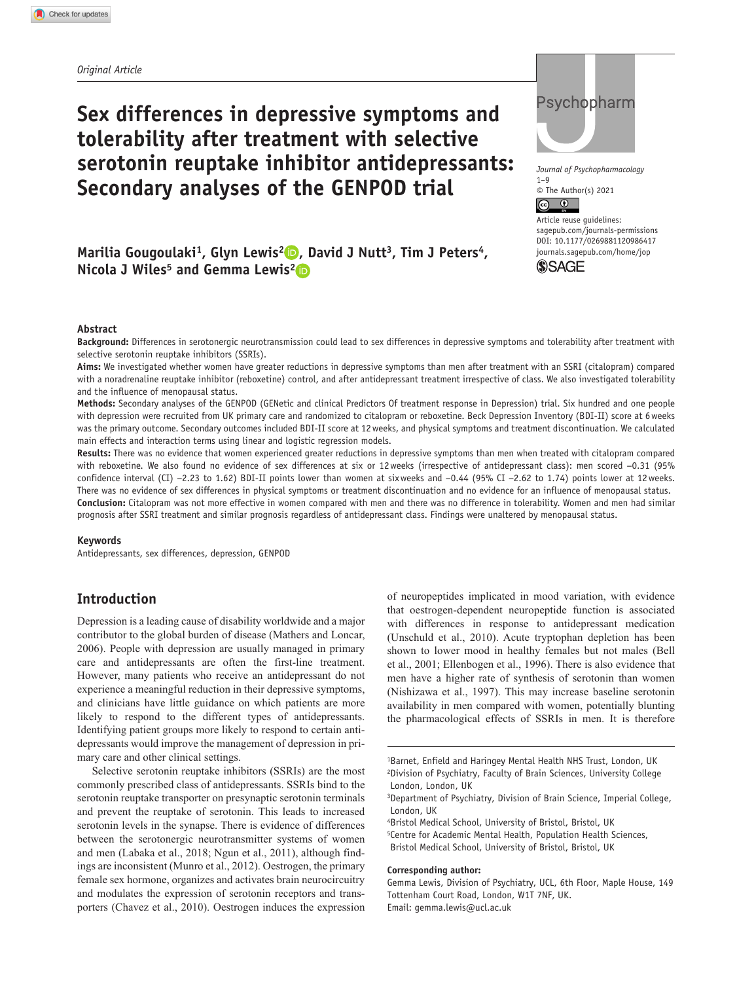# **Sex differences in depressive symptoms and tolerability after treatment with selective serotonin reuptake inhibitor antidepressants: Secondary analyses of the GENPOD trial**



*Journal of Psychopharmacology*  $1 - 9$  $\circ$  The Author(s) 2021

Article reuse guidelines: [sagepub.com/journals-permissions](https://uk.sagepub.com/en-gb/journals-permissions) DOI: 10.1177/0269881120986417 [journals.sagepub.com/home/jop](https://journals.sagepub.com/home/jop) **SSAGF** 

Marilia Gougoulaki<sup>1</sup>, Glyn Lewis<sup>2</sup> **D**, David J Nutt<sup>3</sup>, Tim J Peters<sup>4</sup>, **Nicola J Wiles<sup>5</sup> and Gemma Lewis<sup>2</sup><sup>D</sup>** 

#### **Abstract**

**Background:** Differences in serotonergic neurotransmission could lead to sex differences in depressive symptoms and tolerability after treatment with selective serotonin reuptake inhibitors (SSRIs).

**Aims:** We investigated whether women have greater reductions in depressive symptoms than men after treatment with an SSRI (citalopram) compared with a noradrenaline reuptake inhibitor (reboxetine) control, and after antidepressant treatment irrespective of class. We also investigated tolerability and the influence of menopausal status.

**Methods:** Secondary analyses of the GENPOD (GENetic and clinical Predictors Of treatment response in Depression) trial. Six hundred and one people with depression were recruited from UK primary care and randomized to citalopram or reboxetine. Beck Depression Inventory (BDI-II) score at 6weeks was the primary outcome. Secondary outcomes included BDI-II score at 12weeks, and physical symptoms and treatment discontinuation. We calculated main effects and interaction terms using linear and logistic regression models.

**Results:** There was no evidence that women experienced greater reductions in depressive symptoms than men when treated with citalopram compared with reboxetine. We also found no evidence of sex differences at six or 12weeks (irrespective of antidepressant class): men scored −0.31 (95% confidence interval (CI) −2.23 to 1.62) BDI-II points lower than women at sixweeks and −0.44 (95% CI −2.62 to 1.74) points lower at 12weeks. There was no evidence of sex differences in physical symptoms or treatment discontinuation and no evidence for an influence of menopausal status. **Conclusion:** Citalopram was not more effective in women compared with men and there was no difference in tolerability. Women and men had similar prognosis after SSRI treatment and similar prognosis regardless of antidepressant class. Findings were unaltered by menopausal status.

#### **Keywords**

Antidepressants, sex differences, depression, GENPOD

# **Introduction**

Depression is a leading cause of disability worldwide and a major contributor to the global burden of disease (Mathers and Loncar, 2006). People with depression are usually managed in primary care and antidepressants are often the first-line treatment. However, many patients who receive an antidepressant do not experience a meaningful reduction in their depressive symptoms, and clinicians have little guidance on which patients are more likely to respond to the different types of antidepressants. Identifying patient groups more likely to respond to certain antidepressants would improve the management of depression in primary care and other clinical settings.

Selective serotonin reuptake inhibitors (SSRIs) are the most commonly prescribed class of antidepressants. SSRIs bind to the serotonin reuptake transporter on presynaptic serotonin terminals and prevent the reuptake of serotonin. This leads to increased serotonin levels in the synapse. There is evidence of differences between the serotonergic neurotransmitter systems of women and men (Labaka et al., 2018; Ngun et al., 2011), although findings are inconsistent (Munro et al., 2012). Oestrogen, the primary female sex hormone, organizes and activates brain neurocircuitry and modulates the expression of serotonin receptors and transporters (Chavez et al., 2010). Oestrogen induces the expression of neuropeptides implicated in mood variation, with evidence that oestrogen-dependent neuropeptide function is associated with differences in response to antidepressant medication (Unschuld et al., 2010). Acute tryptophan depletion has been shown to lower mood in healthy females but not males (Bell et al., 2001; Ellenbogen et al., 1996). There is also evidence that men have a higher rate of synthesis of serotonin than women (Nishizawa et al., 1997). This may increase baseline serotonin availability in men compared with women, potentially blunting the pharmacological effects of SSRIs in men. It is therefore

4Bristol Medical School, University of Bristol, Bristol, UK 5Centre for Academic Mental Health, Population Health Sciences, Bristol Medical School, University of Bristol, Bristol, UK

#### **Corresponding author:**

Gemma Lewis, Division of Psychiatry, UCL, 6th Floor, Maple House, 149 Tottenham Court Road, London, W1T 7NF, UK. Email: [gemma.lewis@ucl.ac.uk](mailto:gemma.lewis@ucl.ac.uk)

<sup>1</sup>Barnet, Enfield and Haringey Mental Health NHS Trust, London, UK 2Division of Psychiatry, Faculty of Brain Sciences, University College London, London, UK

<sup>3</sup>Department of Psychiatry, Division of Brain Science, Imperial College, London, UK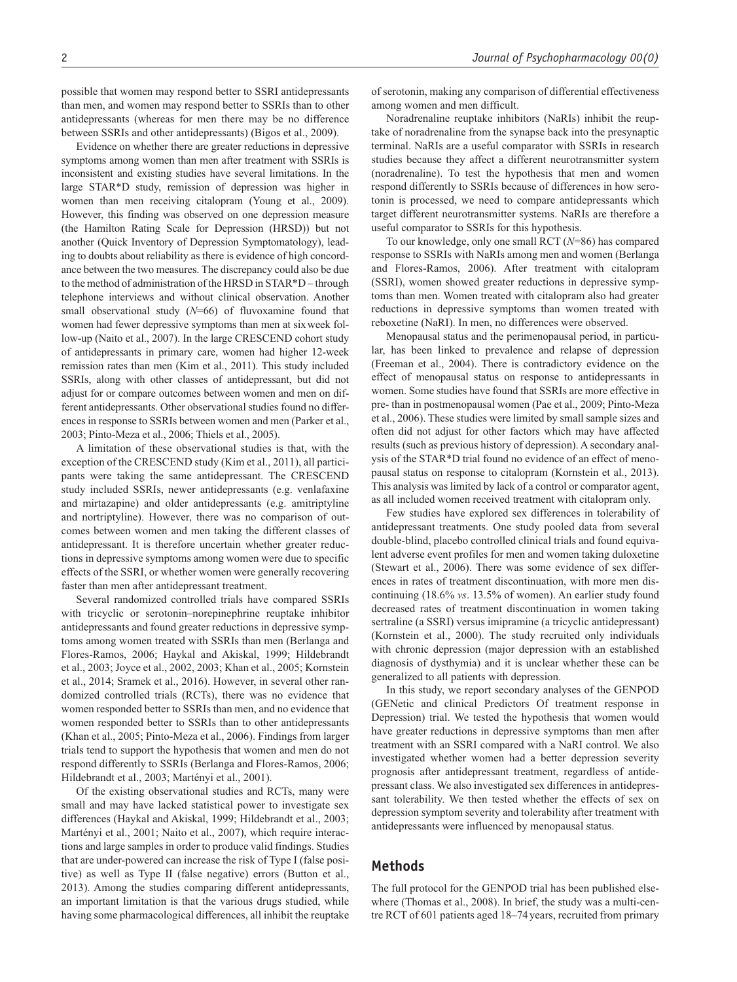possible that women may respond better to SSRI antidepressants than men, and women may respond better to SSRIs than to other antidepressants (whereas for men there may be no difference between SSRIs and other antidepressants) (Bigos et al., 2009).

Evidence on whether there are greater reductions in depressive symptoms among women than men after treatment with SSRIs is inconsistent and existing studies have several limitations. In the large STAR\*D study, remission of depression was higher in women than men receiving citalopram (Young et al., 2009). However, this finding was observed on one depression measure (the Hamilton Rating Scale for Depression (HRSD)) but not another (Quick Inventory of Depression Symptomatology), leading to doubts about reliability as there is evidence of high concordance between the two measures. The discrepancy could also be due to the method of administration of the HRSD in STAR\*D – through telephone interviews and without clinical observation. Another small observational study (*N*=66) of fluvoxamine found that women had fewer depressive symptoms than men at sixweek follow-up (Naito et al., 2007). In the large CRESCEND cohort study of antidepressants in primary care, women had higher 12-week remission rates than men (Kim et al., 2011). This study included SSRIs, along with other classes of antidepressant, but did not adjust for or compare outcomes between women and men on different antidepressants. Other observational studies found no differences in response to SSRIs between women and men (Parker et al., 2003; Pinto-Meza et al., 2006; Thiels et al., 2005).

A limitation of these observational studies is that, with the exception of the CRESCEND study (Kim et al., 2011), all participants were taking the same antidepressant. The CRESCEND study included SSRIs, newer antidepressants (e.g. venlafaxine and mirtazapine) and older antidepressants (e.g. amitriptyline and nortriptyline). However, there was no comparison of outcomes between women and men taking the different classes of antidepressant. It is therefore uncertain whether greater reductions in depressive symptoms among women were due to specific effects of the SSRI, or whether women were generally recovering faster than men after antidepressant treatment.

Several randomized controlled trials have compared SSRIs with tricyclic or serotonin–norepinephrine reuptake inhibitor antidepressants and found greater reductions in depressive symptoms among women treated with SSRIs than men (Berlanga and Flores-Ramos, 2006; Haykal and Akiskal, 1999; Hildebrandt et al., 2003; Joyce et al., 2002, 2003; Khan et al., 2005; Kornstein et al., 2014; Sramek et al., 2016). However, in several other randomized controlled trials (RCTs), there was no evidence that women responded better to SSRIs than men, and no evidence that women responded better to SSRIs than to other antidepressants (Khan et al., 2005; Pinto-Meza et al., 2006). Findings from larger trials tend to support the hypothesis that women and men do not respond differently to SSRIs (Berlanga and Flores-Ramos, 2006; Hildebrandt et al., 2003; Martényi et al., 2001).

Of the existing observational studies and RCTs, many were small and may have lacked statistical power to investigate sex differences (Haykal and Akiskal, 1999; Hildebrandt et al., 2003; Martényi et al., 2001; Naito et al., 2007), which require interactions and large samples in order to produce valid findings. Studies that are under-powered can increase the risk of Type I (false positive) as well as Type II (false negative) errors (Button et al., 2013). Among the studies comparing different antidepressants, an important limitation is that the various drugs studied, while having some pharmacological differences, all inhibit the reuptake of serotonin, making any comparison of differential effectiveness among women and men difficult.

Noradrenaline reuptake inhibitors (NaRIs) inhibit the reuptake of noradrenaline from the synapse back into the presynaptic terminal. NaRIs are a useful comparator with SSRIs in research studies because they affect a different neurotransmitter system (noradrenaline). To test the hypothesis that men and women respond differently to SSRIs because of differences in how serotonin is processed, we need to compare antidepressants which target different neurotransmitter systems. NaRIs are therefore a useful comparator to SSRIs for this hypothesis.

To our knowledge, only one small RCT (*N*=86) has compared response to SSRIs with NaRIs among men and women (Berlanga and Flores-Ramos, 2006). After treatment with citalopram (SSRI), women showed greater reductions in depressive symptoms than men. Women treated with citalopram also had greater reductions in depressive symptoms than women treated with reboxetine (NaRI). In men, no differences were observed.

Menopausal status and the perimenopausal period, in particular, has been linked to prevalence and relapse of depression (Freeman et al., 2004). There is contradictory evidence on the effect of menopausal status on response to antidepressants in women. Some studies have found that SSRIs are more effective in pre- than in postmenopausal women (Pae et al., 2009; Pinto-Meza et al., 2006). These studies were limited by small sample sizes and often did not adjust for other factors which may have affected results (such as previous history of depression). A secondary analysis of the STAR\*D trial found no evidence of an effect of menopausal status on response to citalopram (Kornstein et al., 2013). This analysis was limited by lack of a control or comparator agent, as all included women received treatment with citalopram only.

Few studies have explored sex differences in tolerability of antidepressant treatments. One study pooled data from several double-blind, placebo controlled clinical trials and found equivalent adverse event profiles for men and women taking duloxetine (Stewart et al., 2006). There was some evidence of sex differences in rates of treatment discontinuation, with more men discontinuing (18.6% *vs*. 13.5% of women). An earlier study found decreased rates of treatment discontinuation in women taking sertraline (a SSRI) versus imipramine (a tricyclic antidepressant) (Kornstein et al., 2000). The study recruited only individuals with chronic depression (major depression with an established diagnosis of dysthymia) and it is unclear whether these can be generalized to all patients with depression.

In this study, we report secondary analyses of the GENPOD (GENetic and clinical Predictors Of treatment response in Depression) trial. We tested the hypothesis that women would have greater reductions in depressive symptoms than men after treatment with an SSRI compared with a NaRI control. We also investigated whether women had a better depression severity prognosis after antidepressant treatment, regardless of antidepressant class. We also investigated sex differences in antidepressant tolerability. We then tested whether the effects of sex on depression symptom severity and tolerability after treatment with antidepressants were influenced by menopausal status.

## **Methods**

The full protocol for the GENPOD trial has been published elsewhere (Thomas et al., 2008). In brief, the study was a multi-centre RCT of 601 patients aged 18–74years, recruited from primary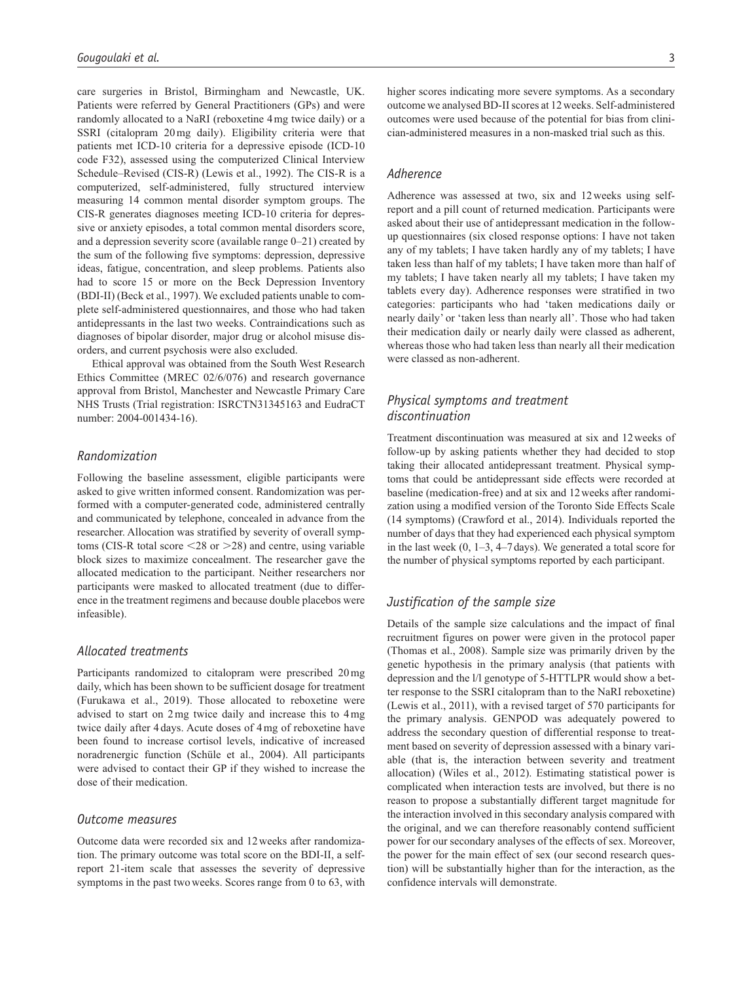care surgeries in Bristol, Birmingham and Newcastle, UK. Patients were referred by General Practitioners (GPs) and were randomly allocated to a NaRI (reboxetine 4mg twice daily) or a SSRI (citalopram 20mg daily). Eligibility criteria were that patients met ICD-10 criteria for a depressive episode (ICD-10 code F32), assessed using the computerized Clinical Interview Schedule–Revised (CIS-R) (Lewis et al., 1992). The CIS-R is a computerized, self-administered, fully structured interview measuring 14 common mental disorder symptom groups. The CIS-R generates diagnoses meeting ICD-10 criteria for depressive or anxiety episodes, a total common mental disorders score, and a depression severity score (available range 0–21) created by the sum of the following five symptoms: depression, depressive ideas, fatigue, concentration, and sleep problems. Patients also had to score 15 or more on the Beck Depression Inventory (BDI-II) (Beck et al., 1997). We excluded patients unable to complete self-administered questionnaires, and those who had taken antidepressants in the last two weeks. Contraindications such as diagnoses of bipolar disorder, major drug or alcohol misuse disorders, and current psychosis were also excluded.

Ethical approval was obtained from the South West Research Ethics Committee (MREC 02/6/076) and research governance approval from Bristol, Manchester and Newcastle Primary Care NHS Trusts (Trial registration: ISRCTN31345163 and EudraCT number: 2004-001434-16).

## *Randomization*

Following the baseline assessment, eligible participants were asked to give written informed consent. Randomization was performed with a computer-generated code, administered centrally and communicated by telephone, concealed in advance from the researcher. Allocation was stratified by severity of overall symptoms (CIS-R total score  $\leq$ 28 or  $\geq$ 28) and centre, using variable block sizes to maximize concealment. The researcher gave the allocated medication to the participant. Neither researchers nor participants were masked to allocated treatment (due to difference in the treatment regimens and because double placebos were infeasible).

#### *Allocated treatments*

Participants randomized to citalopram were prescribed 20mg daily, which has been shown to be sufficient dosage for treatment (Furukawa et al., 2019). Those allocated to reboxetine were advised to start on 2mg twice daily and increase this to 4mg twice daily after 4 days. Acute doses of 4mg of reboxetine have been found to increase cortisol levels, indicative of increased noradrenergic function (Schüle et al., 2004). All participants were advised to contact their GP if they wished to increase the dose of their medication.

#### *Outcome measures*

Outcome data were recorded six and 12weeks after randomization. The primary outcome was total score on the BDI-II, a selfreport 21-item scale that assesses the severity of depressive symptoms in the past twoweeks. Scores range from 0 to 63, with higher scores indicating more severe symptoms. As a secondary outcome we analysed BD-II scores at 12weeks. Self-administered outcomes were used because of the potential for bias from clinician-administered measures in a non-masked trial such as this.

## *Adherence*

Adherence was assessed at two, six and 12weeks using selfreport and a pill count of returned medication. Participants were asked about their use of antidepressant medication in the followup questionnaires (six closed response options: I have not taken any of my tablets; I have taken hardly any of my tablets; I have taken less than half of my tablets; I have taken more than half of my tablets; I have taken nearly all my tablets; I have taken my tablets every day). Adherence responses were stratified in two categories: participants who had 'taken medications daily or nearly daily' or 'taken less than nearly all'. Those who had taken their medication daily or nearly daily were classed as adherent, whereas those who had taken less than nearly all their medication were classed as non-adherent.

# *Physical symptoms and treatment discontinuation*

Treatment discontinuation was measured at six and 12weeks of follow-up by asking patients whether they had decided to stop taking their allocated antidepressant treatment. Physical symptoms that could be antidepressant side effects were recorded at baseline (medication-free) and at six and 12weeks after randomization using a modified version of the Toronto Side Effects Scale (14 symptoms) (Crawford et al., 2014). Individuals reported the number of days that they had experienced each physical symptom in the last week  $(0, 1-3, 4-7 \text{ days})$ . We generated a total score for the number of physical symptoms reported by each participant.

#### *Justification of the sample size*

Details of the sample size calculations and the impact of final recruitment figures on power were given in the protocol paper (Thomas et al., 2008). Sample size was primarily driven by the genetic hypothesis in the primary analysis (that patients with depression and the l/l genotype of 5-HTTLPR would show a better response to the SSRI citalopram than to the NaRI reboxetine) (Lewis et al., 2011), with a revised target of 570 participants for the primary analysis. GENPOD was adequately powered to address the secondary question of differential response to treatment based on severity of depression assessed with a binary variable (that is, the interaction between severity and treatment allocation) (Wiles et al., 2012). Estimating statistical power is complicated when interaction tests are involved, but there is no reason to propose a substantially different target magnitude for the interaction involved in this secondary analysis compared with the original, and we can therefore reasonably contend sufficient power for our secondary analyses of the effects of sex. Moreover, the power for the main effect of sex (our second research question) will be substantially higher than for the interaction, as the confidence intervals will demonstrate.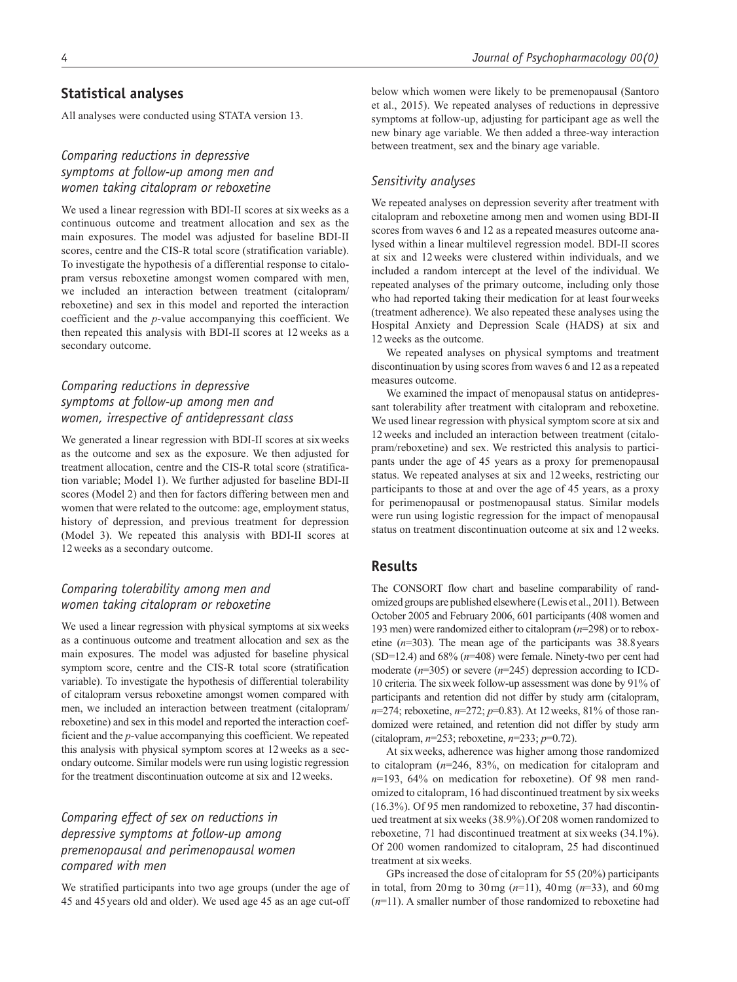# **Statistical analyses**

All analyses were conducted using STATA version 13.

# *Comparing reductions in depressive symptoms at follow-up among men and women taking citalopram or reboxetine*

We used a linear regression with BDI-II scores at sixweeks as a continuous outcome and treatment allocation and sex as the main exposures. The model was adjusted for baseline BDI-II scores, centre and the CIS-R total score (stratification variable). To investigate the hypothesis of a differential response to citalopram versus reboxetine amongst women compared with men, we included an interaction between treatment (citalopram/ reboxetine) and sex in this model and reported the interaction coefficient and the *p*-value accompanying this coefficient. We then repeated this analysis with BDI-II scores at 12weeks as a secondary outcome.

# *Comparing reductions in depressive symptoms at follow-up among men and women, irrespective of antidepressant class*

We generated a linear regression with BDI-II scores at sixweeks as the outcome and sex as the exposure. We then adjusted for treatment allocation, centre and the CIS-R total score (stratification variable; Model 1). We further adjusted for baseline BDI-II scores (Model 2) and then for factors differing between men and women that were related to the outcome: age, employment status, history of depression, and previous treatment for depression (Model 3). We repeated this analysis with BDI-II scores at 12weeks as a secondary outcome.

# *Comparing tolerability among men and women taking citalopram or reboxetine*

We used a linear regression with physical symptoms at sixweeks as a continuous outcome and treatment allocation and sex as the main exposures. The model was adjusted for baseline physical symptom score, centre and the CIS-R total score (stratification variable). To investigate the hypothesis of differential tolerability of citalopram versus reboxetine amongst women compared with men, we included an interaction between treatment (citalopram/ reboxetine) and sex in this model and reported the interaction coefficient and the *p*-value accompanying this coefficient. We repeated this analysis with physical symptom scores at 12weeks as a secondary outcome. Similar models were run using logistic regression for the treatment discontinuation outcome at six and 12weeks.

# *Comparing effect of sex on reductions in depressive symptoms at follow-up among premenopausal and perimenopausal women compared with men*

We stratified participants into two age groups (under the age of 45 and 45years old and older). We used age 45 as an age cut-off below which women were likely to be premenopausal (Santoro et al., 2015). We repeated analyses of reductions in depressive symptoms at follow-up, adjusting for participant age as well the new binary age variable. We then added a three-way interaction between treatment, sex and the binary age variable.

# *Sensitivity analyses*

We repeated analyses on depression severity after treatment with citalopram and reboxetine among men and women using BDI-II scores from waves 6 and 12 as a repeated measures outcome analysed within a linear multilevel regression model. BDI-II scores at six and 12weeks were clustered within individuals, and we included a random intercept at the level of the individual. We repeated analyses of the primary outcome, including only those who had reported taking their medication for at least fourweeks (treatment adherence). We also repeated these analyses using the Hospital Anxiety and Depression Scale (HADS) at six and 12weeks as the outcome.

We repeated analyses on physical symptoms and treatment discontinuation by using scores from waves 6 and 12 as a repeated measures outcome.

We examined the impact of menopausal status on antidepressant tolerability after treatment with citalopram and reboxetine. We used linear regression with physical symptom score at six and 12weeks and included an interaction between treatment (citalopram/reboxetine) and sex. We restricted this analysis to participants under the age of 45 years as a proxy for premenopausal status. We repeated analyses at six and 12weeks, restricting our participants to those at and over the age of 45 years, as a proxy for perimenopausal or postmenopausal status. Similar models were run using logistic regression for the impact of menopausal status on treatment discontinuation outcome at six and 12weeks.

# **Results**

The CONSORT flow chart and baseline comparability of randomized groups are published elsewhere (Lewis et al., 2011). Between October 2005 and February 2006, 601 participants (408 women and 193 men) were randomized either to citalopram (*n*=298) or to reboxetine (*n*=303). The mean age of the participants was 38.8years (SD=12.4) and 68% (*n*=408) were female. Ninety-two per cent had moderate  $(n=305)$  or severe  $(n=245)$  depression according to ICD-10 criteria. The sixweek follow-up assessment was done by 91% of participants and retention did not differ by study arm (citalopram, *n*=274; reboxetine, *n*=272; *p*=0.83). At 12weeks, 81% of those randomized were retained, and retention did not differ by study arm (citalopram, *n*=253; reboxetine, *n*=233; *p*=0.72).

At sixweeks, adherence was higher among those randomized to citalopram (*n*=246, 83%, on medication for citalopram and *n*=193, 64% on medication for reboxetine). Of 98 men randomized to citalopram, 16 had discontinued treatment by sixweeks (16.3%). Of 95 men randomized to reboxetine, 37 had discontinued treatment at sixweeks (38.9%).Of 208 women randomized to reboxetine, 71 had discontinued treatment at sixweeks (34.1%). Of 200 women randomized to citalopram, 25 had discontinued treatment at sixweeks.

GPs increased the dose of citalopram for 55 (20%) participants in total, from 20mg to 30mg (*n*=11), 40mg (*n*=33), and 60mg (*n*=11). A smaller number of those randomized to reboxetine had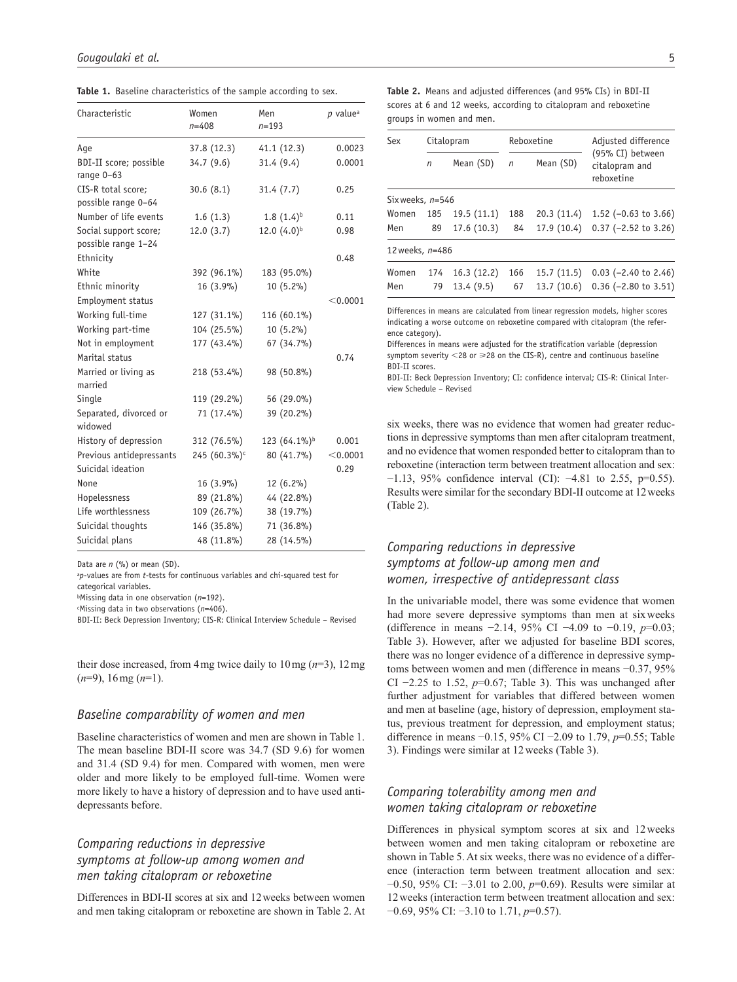Table 1. Baseline characteristics of the sample according to sex.

| Characteristic                               | Women<br>$n = 408$       | Men<br>$n = 193$         | p value <sup>a</sup> |
|----------------------------------------------|--------------------------|--------------------------|----------------------|
| Age                                          | 37.8 (12.3)              | 41.1(12.3)               | 0.0023               |
| BDI-II score; possible<br>range $0-63$       | 34.7(9.6)                | 31.4 (9.4)               | 0.0001               |
| CIS-R total score;<br>possible range 0-64    | 30.6(8.1)                | 31.4(7.7)                | 0.25                 |
| Number of life events                        | 1.6(1.3)                 | $1.8(1.4)^{b}$           | 0.11                 |
| Social support score;<br>possible range 1-24 | 12.0(3.7)                | $12.0(4.0)^{b}$          | 0.98                 |
| Ethnicity                                    |                          |                          | 0.48                 |
| White                                        | 392 (96.1%)              | 183 (95.0%)              |                      |
| Ethnic minority                              | $16(3.9\%)$              | $10(5.2\%)$              |                      |
| Employment status                            |                          |                          | $<$ 0.0001           |
| Working full-time                            | 127 (31.1%)              | 116 (60.1%)              |                      |
| Working part-time                            | 104 (25.5%)              | 10 (5.2%)                |                      |
| Not in employment                            | 177 (43.4%)              | 67 (34.7%)               |                      |
| Marital status                               |                          |                          | 0.74                 |
| Married or living as<br>married              | 218 (53.4%)              | 98 (50.8%)               |                      |
| Single                                       | 119 (29.2%)              | 56 (29.0%)               |                      |
| Separated, divorced or<br>widowed            | 71 (17.4%)               | 39 (20.2%)               |                      |
| History of depression                        | 312 (76.5%)              | 123 (64.1%) <sup>b</sup> | 0.001                |
| Previous antidepressants                     | 245 (60.3%) <sup>c</sup> | $80(41.7\%)$             | < 0.0001             |
| Suicidal ideation                            |                          |                          | 0.29                 |
| None                                         | $16(3.9\%)$              | $12(6.2\%)$              |                      |
| Hopelessness                                 | 89 (21.8%)               | 44 (22.8%)               |                      |
| Life worthlessness                           | 109 (26.7%)              | 38 (19.7%)               |                      |
| Suicidal thoughts                            | 146 (35.8%)              | 71 (36.8%)               |                      |
| Suicidal plans                               | 48 (11.8%)               | 28 (14.5%)               |                      |

Data are *n* (%) or mean (SD).

<sup>a</sup>*p*-values are from *t*-tests for continuous variables and chi-squared test for categorical variables.

bMissing data in one observation (*n*=192).

c Missing data in two observations (*n*=406).

BDI-II: Beck Depression Inventory; CIS-R: Clinical Interview Schedule – Revised

their dose increased, from 4mg twice daily to 10mg (*n*=3), 12mg (*n*=9), 16mg (*n*=1).

# *Baseline comparability of women and men*

Baseline characteristics of women and men are shown in Table 1. The mean baseline BDI-II score was 34.7 (SD 9.6) for women and 31.4 (SD 9.4) for men. Compared with women, men were older and more likely to be employed full-time. Women were more likely to have a history of depression and to have used antidepressants before.

# *Comparing reductions in depressive symptoms at follow-up among women and men taking citalopram or reboxetine*

Differences in BDI-II scores at six and 12weeks between women and men taking citalopram or reboxetine are shown in Table 2. At

**Table 2.** Means and adjusted differences (and 95% CIs) in BDI-II scores at 6 and 12 weeks, according to citalopram and reboxetine groups in women and men.

| Sex              | Citalopram |            | Reboxetine |            | Adjusted difference                              |
|------------------|------------|------------|------------|------------|--------------------------------------------------|
|                  | n          | Mean (SD)  | $\eta$     | Mean (SD)  | (95% CI) between<br>citalopram and<br>reboxetine |
| Six weeks, n=546 |            |            |            |            |                                                  |
| Women            | 185        | 19.5(11.1) | 188        | 20.3(11.4) | 1.52 ( $-0.63$ to 3.66)                          |
| Men              | 89         | 17.6(10.3) | 84         | 17.9(10.4) | $0.37$ (-2.52 to 3.26)                           |
| 12 weeks, n=486  |            |            |            |            |                                                  |
| Women            | 174        | 16.3(12.2) | 166        | 15.7(11.5) | $0.03$ (-2.40 to 2.46)                           |
| Men              | 79         | 13.4(9.5)  | 67         | 13.7(10.6) | $0.36$ (-2.80 to 3.51)                           |
|                  |            |            |            |            |                                                  |

Differences in means are calculated from linear regression models, higher scores indicating a worse outcome on reboxetine compared with citalopram (the reference category).

Differences in means were adjusted for the stratification variable (depression symptom severity  $<$  28 or  $\geq$  28 on the CIS-R), centre and continuous baseline BDI-II scores.

BDI-II: Beck Depression Inventory; CI: confidence interval; CIS-R: Clinical Interview Schedule – Revised

six weeks, there was no evidence that women had greater reductions in depressive symptoms than men after citalopram treatment, and no evidence that women responded better to citalopram than to reboxetine (interaction term between treatment allocation and sex: −1.13, 95% confidence interval (CI): −4.81 to 2.55, p=0.55). Results were similar for the secondary BDI-II outcome at 12weeks (Table 2).

# *Comparing reductions in depressive symptoms at follow-up among men and women, irrespective of antidepressant class*

In the univariable model, there was some evidence that women had more severe depressive symptoms than men at sixweeks (difference in means −2.14, 95% CI −4.09 to −0.19, *p*=0.03; Table 3). However, after we adjusted for baseline BDI scores, there was no longer evidence of a difference in depressive symptoms between women and men (difference in means −0.37, 95% CI −2.25 to 1.52, *p*=0.67; Table 3). This was unchanged after further adjustment for variables that differed between women and men at baseline (age, history of depression, employment status, previous treatment for depression, and employment status; difference in means −0.15, 95% CI −2.09 to 1.79, *p*=0.55; Table 3). Findings were similar at 12weeks (Table 3).

# *Comparing tolerability among men and women taking citalopram or reboxetine*

Differences in physical symptom scores at six and 12weeks between women and men taking citalopram or reboxetine are shown in Table 5. At six weeks, there was no evidence of a difference (interaction term between treatment allocation and sex: −0.50, 95% CI: −3.01 to 2.00, *p*=0.69). Results were similar at 12weeks (interaction term between treatment allocation and sex: −0.69, 95% CI: −3.10 to 1.71, *p*=0.57).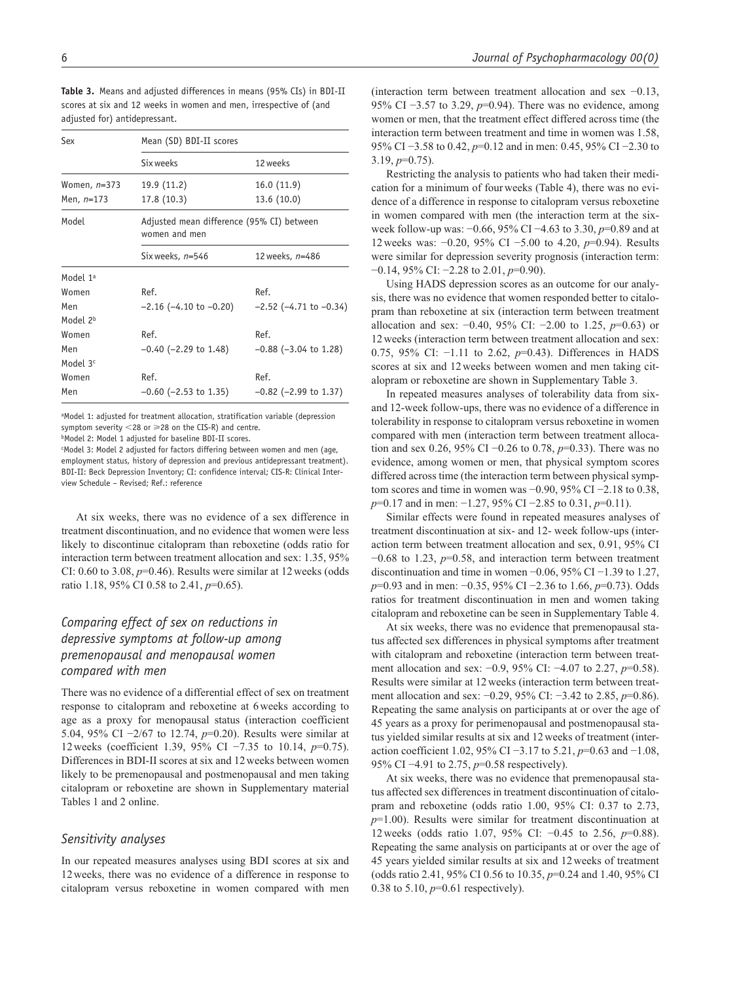| Sex                  | Mean (SD) BDI-II scores    |                                           |  |  |  |
|----------------------|----------------------------|-------------------------------------------|--|--|--|
|                      | Six weeks                  | 12 weeks                                  |  |  |  |
| Women, n=373         | 19.9 (11.2)                | 16.0(11.9)                                |  |  |  |
| Men, n=173           | 17.8 (10.3)                | 13.6 (10.0)                               |  |  |  |
| Model                | women and men              | Adjusted mean difference (95% CI) between |  |  |  |
|                      | Six weeks, n=546           | 12 weeks, n=486                           |  |  |  |
| Model 1ª             |                            |                                           |  |  |  |
| Women                | Ref.                       | Ref.                                      |  |  |  |
| Men                  | –2.16 (–4.10 to –0.20)     | $-2.52$ ( $-4.71$ to $-0.34$ )            |  |  |  |
| Model 2 <sup>b</sup> |                            |                                           |  |  |  |
| Women                | Ref.                       | Ref.                                      |  |  |  |
| Men                  | $-0.40$ ( $-2.29$ to 1.48) | $-0.88$ ( $-3.04$ to 1.28)                |  |  |  |
| Model 3 <sup>c</sup> |                            |                                           |  |  |  |
| Women                | Ref.                       | Ref.                                      |  |  |  |
| Men                  | $-0.60$ ( $-2.53$ to 1.35) | $-0.82$ ( $-2.99$ to 1.37)                |  |  |  |

**Table 3.** Means and adjusted differences in means (95% CIs) in BDI-II scores at six and 12 weeks in women and men, irrespective of (and adjusted for) antidepressant.

aModel 1: adjusted for treatment allocation, stratification variable (depression symptom severity  $<$ 28 or  $\geq$ 28 on the CIS-R) and centre.

**bModel 2: Model 1 adjusted for baseline BDI-II scores.** 

c Model 3: Model 2 adjusted for factors differing between women and men (age, employment status, history of depression and previous antidepressant treatment). BDI-II: Beck Depression Inventory; CI: confidence interval; CIS-R: Clinical Interview Schedule – Revised; Ref.: reference

At six weeks, there was no evidence of a sex difference in treatment discontinuation, and no evidence that women were less likely to discontinue citalopram than reboxetine (odds ratio for interaction term between treatment allocation and sex: 1.35, 95% CI:  $0.60$  to  $3.08$ ,  $p=0.46$ ). Results were similar at 12 weeks (odds ratio 1.18, 95% CI 0.58 to 2.41, *p*=0.65).

# *Comparing effect of sex on reductions in depressive symptoms at follow-up among premenopausal and menopausal women compared with men*

There was no evidence of a differential effect of sex on treatment response to citalopram and reboxetine at 6weeks according to age as a proxy for menopausal status (interaction coefficient 5.04, 95% CI −2/67 to 12.74, *p*=0.20). Results were similar at 12weeks (coefficient 1.39, 95% CI −7.35 to 10.14, *p*=0.75). Differences in BDI-II scores at six and 12weeks between women likely to be premenopausal and postmenopausal and men taking citalopram or reboxetine are shown in Supplementary material Tables 1 and 2 online.

#### *Sensitivity analyses*

In our repeated measures analyses using BDI scores at six and 12weeks, there was no evidence of a difference in response to citalopram versus reboxetine in women compared with men (interaction term between treatment allocation and sex −0.13, 95% CI −3.57 to 3.29, *p*=0.94). There was no evidence, among women or men, that the treatment effect differed across time (the interaction term between treatment and time in women was 1.58, 95% CI −3.58 to 0.42, *p*=0.12 and in men: 0.45, 95% CI −2.30 to 3.19, *p*=0.75).

Restricting the analysis to patients who had taken their medication for a minimum of fourweeks (Table 4), there was no evidence of a difference in response to citalopram versus reboxetine in women compared with men (the interaction term at the sixweek follow-up was: −0.66, 95% CI −4.63 to 3.30, *p*=0.89 and at 12weeks was: −0.20, 95% CI −5.00 to 4.20, *p*=0.94). Results were similar for depression severity prognosis (interaction term: −0.14, 95% CI: −2.28 to 2.01, *p*=0.90).

Using HADS depression scores as an outcome for our analysis, there was no evidence that women responded better to citalopram than reboxetine at six (interaction term between treatment allocation and sex: −0.40, 95% CI: −2.00 to 1.25, *p*=0.63) or 12weeks (interaction term between treatment allocation and sex: 0.75, 95% CI: −1.11 to 2.62, *p*=0.43). Differences in HADS scores at six and 12weeks between women and men taking citalopram or reboxetine are shown in Supplementary Table 3.

In repeated measures analyses of tolerability data from sixand 12-week follow-ups, there was no evidence of a difference in tolerability in response to citalopram versus reboxetine in women compared with men (interaction term between treatment allocation and sex 0.26, 95% CI −0.26 to 0.78, *p*=0.33). There was no evidence, among women or men, that physical symptom scores differed across time (the interaction term between physical symptom scores and time in women was −0.90, 95% CI −2.18 to 0.38, *p*=0.17 and in men: −1.27, 95% CI −2.85 to 0.31, *p*=0.11).

Similar effects were found in repeated measures analyses of treatment discontinuation at six- and 12- week follow-ups (interaction term between treatment allocation and sex, 0.91, 95% CI −0.68 to 1.23, *p*=0.58, and interaction term between treatment discontinuation and time in women −0.06, 95% CI −1.39 to 1.27, *p*=0.93 and in men: −0.35, 95% CI −2.36 to 1.66, *p*=0.73). Odds ratios for treatment discontinuation in men and women taking citalopram and reboxetine can be seen in Supplementary Table 4.

At six weeks, there was no evidence that premenopausal status affected sex differences in physical symptoms after treatment with citalopram and reboxetine (interaction term between treatment allocation and sex: −0.9, 95% CI: −4.07 to 2.27, *p*=0.58). Results were similar at 12weeks (interaction term between treatment allocation and sex: −0.29, 95% CI: −3.42 to 2.85, *p*=0.86). Repeating the same analysis on participants at or over the age of 45 years as a proxy for perimenopausal and postmenopausal status yielded similar results at six and 12weeks of treatment (interaction coefficient 1.02, 95% CI −3.17 to 5.21, *p*=0.63 and −1.08, 95% CI −4.91 to 2.75, *p*=0.58 respectively).

At six weeks, there was no evidence that premenopausal status affected sex differences in treatment discontinuation of citalopram and reboxetine (odds ratio 1.00, 95% CI: 0.37 to 2.73, *p*=1.00). Results were similar for treatment discontinuation at 12weeks (odds ratio 1.07, 95% CI: −0.45 to 2.56, *p*=0.88). Repeating the same analysis on participants at or over the age of 45 years yielded similar results at six and 12weeks of treatment (odds ratio 2.41, 95% CI 0.56 to 10.35, *p*=0.24 and 1.40, 95% CI 0.38 to 5.10, *p*=0.61 respectively).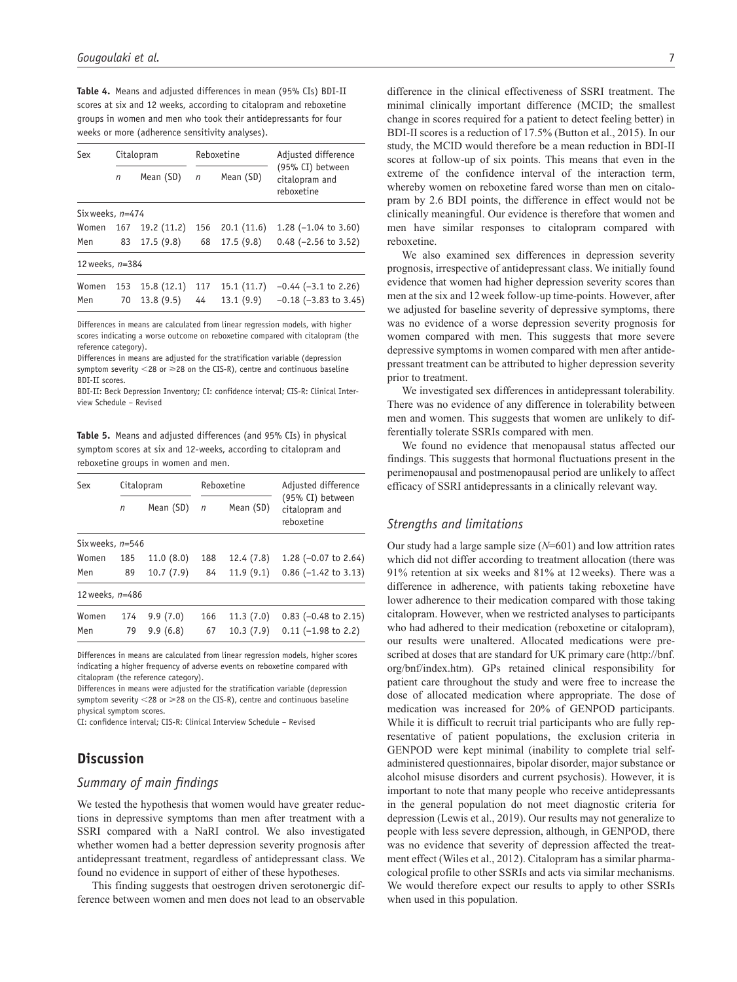**Table 4.** Means and adjusted differences in mean (95% CIs) BDI-II scores at six and 12 weeks, according to citalopram and reboxetine groups in women and men who took their antidepressants for four weeks or more (adherence sensitivity analyses).

| Sex                | Citalopram |            | Reboxetine |            | Adjusted difference                              |
|--------------------|------------|------------|------------|------------|--------------------------------------------------|
|                    | n          | Mean (SD)  | n          | Mean (SD)  | (95% CI) between<br>citalopram and<br>rehoxetine |
| Six weeks, $n=474$ |            |            |            |            |                                                  |
| Women              | 167        | 19.2(11.2) | 156        | 20.1(11.6) | 1.28 $(-1.04 \text{ to } 3.60)$                  |
| Men                | 83         | 17.5(9.8)  | 68         | 17.5(9.8)  | $0.48$ (-2.56 to 3.52)                           |
| 12 weeks, n=384    |            |            |            |            |                                                  |
| Women              | 153        | 15.8(12.1) | 117        | 15.1(11.7) | $-0.44$ ( $-3.1$ to 2.26)                        |
| Men                | 70         | 13.8(9.5)  | 44         | 13.1(9.9)  | $-0.18$ ( $-3.83$ to 3.45)                       |

Differences in means are calculated from linear regression models, with higher scores indicating a worse outcome on reboxetine compared with citalopram (the reference category).

Differences in means are adjusted for the stratification variable (depression symptom severity  $<$  28 or  $\geq$  28 on the CIS-R), centre and continuous baseline BDI-II scores.

BDI-II: Beck Depression Inventory; CI: confidence interval; CIS-R: Clinical Interview Schedule – Revised

**Table 5.** Means and adjusted differences (and 95% CIs) in physical symptom scores at six and 12-weeks, according to citalopram and reboxetine groups in women and men.

| Sex                |     | Citalopram |     | Reboxetine | Adjusted difference                              |
|--------------------|-----|------------|-----|------------|--------------------------------------------------|
|                    | n   | Mean (SD)  | n   | Mean (SD)  | (95% CI) between<br>citalopram and<br>reboxetine |
| Six weeks, $n=546$ |     |            |     |            |                                                  |
| Women              | 185 | 11.0(8.0)  | 188 | 12.4(7.8)  | 1.28 $(-0.07 \text{ to } 2.64)$                  |
| Men                | 89  | 10.7(7.9)  | 84  | 11.9(9.1)  | $0.86$ (-1.42 to 3.13)                           |
| 12 weeks, n=486    |     |            |     |            |                                                  |
| Women              | 174 | 9.9(7.0)   | 166 | 11.3(7.0)  | $0.83$ (-0.48 to 2.15)                           |
| Men                | 79  | 9.9(6.8)   | 67  | 10.3(7.9)  | $0.11$ (-1.98 to 2.2)                            |
|                    |     |            |     |            |                                                  |

Differences in means are calculated from linear regression models, higher scores indicating a higher frequency of adverse events on reboxetine compared with citalopram (the reference category).

Differences in means were adjusted for the stratification variable (depression symptom severity  $<$  28 or  $\geq$  28 on the CIS-R), centre and continuous baseline physical symptom scores.

CI: confidence interval; CIS-R: Clinical Interview Schedule – Revised

# **Discussion**

# *Summary of main findings*

We tested the hypothesis that women would have greater reductions in depressive symptoms than men after treatment with a SSRI compared with a NaRI control. We also investigated whether women had a better depression severity prognosis after antidepressant treatment, regardless of antidepressant class. We found no evidence in support of either of these hypotheses.

This finding suggests that oestrogen driven serotonergic difference between women and men does not lead to an observable

difference in the clinical effectiveness of SSRI treatment. The minimal clinically important difference (MCID; the smallest change in scores required for a patient to detect feeling better) in BDI-II scores is a reduction of 17.5% (Button et al., 2015). In our study, the MCID would therefore be a mean reduction in BDI-II scores at follow-up of six points. This means that even in the extreme of the confidence interval of the interaction term, whereby women on reboxetine fared worse than men on citalopram by 2.6 BDI points, the difference in effect would not be clinically meaningful. Our evidence is therefore that women and men have similar responses to citalopram compared with reboxetine.

We also examined sex differences in depression severity prognosis, irrespective of antidepressant class. We initially found evidence that women had higher depression severity scores than men at the six and 12week follow-up time-points. However, after we adjusted for baseline severity of depressive symptoms, there was no evidence of a worse depression severity prognosis for women compared with men. This suggests that more severe depressive symptoms in women compared with men after antidepressant treatment can be attributed to higher depression severity prior to treatment.

We investigated sex differences in antidepressant tolerability. There was no evidence of any difference in tolerability between men and women. This suggests that women are unlikely to differentially tolerate SSRIs compared with men.

We found no evidence that menopausal status affected our findings. This suggests that hormonal fluctuations present in the perimenopausal and postmenopausal period are unlikely to affect efficacy of SSRI antidepressants in a clinically relevant way.

## *Strengths and limitations*

Our study had a large sample size (*N*=601) and low attrition rates which did not differ according to treatment allocation (there was 91% retention at six weeks and 81% at 12weeks). There was a difference in adherence, with patients taking reboxetine have lower adherence to their medication compared with those taking citalopram. However, when we restricted analyses to participants who had adhered to their medication (reboxetine or citalopram), our results were unaltered. Allocated medications were prescribed at doses that are standard for UK primary care ([http://bnf.](http://bnf.org/bnf/index.htm) [org/bnf/index.htm](http://bnf.org/bnf/index.htm)). GPs retained clinical responsibility for patient care throughout the study and were free to increase the dose of allocated medication where appropriate. The dose of medication was increased for 20% of GENPOD participants. While it is difficult to recruit trial participants who are fully representative of patient populations, the exclusion criteria in GENPOD were kept minimal (inability to complete trial selfadministered questionnaires, bipolar disorder, major substance or alcohol misuse disorders and current psychosis). However, it is important to note that many people who receive antidepressants in the general population do not meet diagnostic criteria for depression (Lewis et al., 2019). Our results may not generalize to people with less severe depression, although, in GENPOD, there was no evidence that severity of depression affected the treatment effect (Wiles et al., 2012). Citalopram has a similar pharmacological profile to other SSRIs and acts via similar mechanisms. We would therefore expect our results to apply to other SSRIs when used in this population.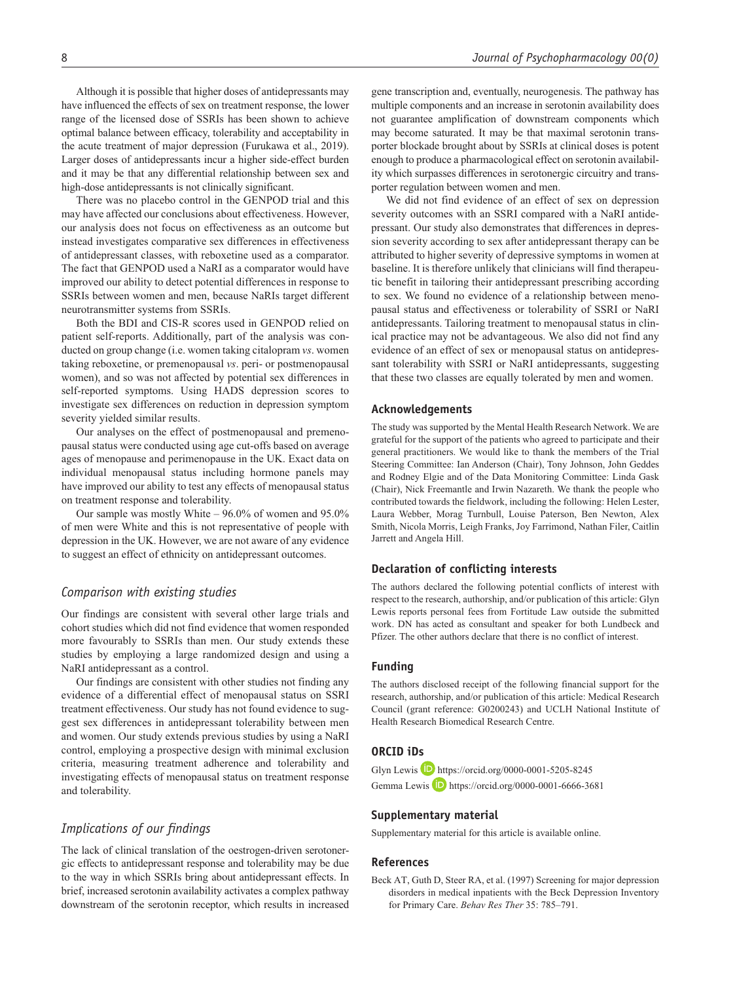Although it is possible that higher doses of antidepressants may have influenced the effects of sex on treatment response, the lower range of the licensed dose of SSRIs has been shown to achieve optimal balance between efficacy, tolerability and acceptability in the acute treatment of major depression (Furukawa et al., 2019). Larger doses of antidepressants incur a higher side-effect burden and it may be that any differential relationship between sex and high-dose antidepressants is not clinically significant.

There was no placebo control in the GENPOD trial and this may have affected our conclusions about effectiveness. However, our analysis does not focus on effectiveness as an outcome but instead investigates comparative sex differences in effectiveness of antidepressant classes, with reboxetine used as a comparator. The fact that GENPOD used a NaRI as a comparator would have improved our ability to detect potential differences in response to SSRIs between women and men, because NaRIs target different neurotransmitter systems from SSRIs.

Both the BDI and CIS-R scores used in GENPOD relied on patient self-reports. Additionally, part of the analysis was conducted on group change (i.e. women taking citalopram *vs*. women taking reboxetine, or premenopausal *vs*. peri- or postmenopausal women), and so was not affected by potential sex differences in self-reported symptoms. Using HADS depression scores to investigate sex differences on reduction in depression symptom severity yielded similar results.

Our analyses on the effect of postmenopausal and premenopausal status were conducted using age cut-offs based on average ages of menopause and perimenopause in the UK. Exact data on individual menopausal status including hormone panels may have improved our ability to test any effects of menopausal status on treatment response and tolerability.

Our sample was mostly White – 96.0% of women and 95.0% of men were White and this is not representative of people with depression in the UK. However, we are not aware of any evidence to suggest an effect of ethnicity on antidepressant outcomes.

#### *Comparison with existing studies*

Our findings are consistent with several other large trials and cohort studies which did not find evidence that women responded more favourably to SSRIs than men. Our study extends these studies by employing a large randomized design and using a NaRI antidepressant as a control.

Our findings are consistent with other studies not finding any evidence of a differential effect of menopausal status on SSRI treatment effectiveness. Our study has not found evidence to suggest sex differences in antidepressant tolerability between men and women. Our study extends previous studies by using a NaRI control, employing a prospective design with minimal exclusion criteria, measuring treatment adherence and tolerability and investigating effects of menopausal status on treatment response and tolerability.

# *Implications of our findings*

The lack of clinical translation of the oestrogen-driven serotonergic effects to antidepressant response and tolerability may be due to the way in which SSRIs bring about antidepressant effects. In brief, increased serotonin availability activates a complex pathway downstream of the serotonin receptor, which results in increased

gene transcription and, eventually, neurogenesis. The pathway has multiple components and an increase in serotonin availability does not guarantee amplification of downstream components which may become saturated. It may be that maximal serotonin transporter blockade brought about by SSRIs at clinical doses is potent enough to produce a pharmacological effect on serotonin availability which surpasses differences in serotonergic circuitry and transporter regulation between women and men.

We did not find evidence of an effect of sex on depression severity outcomes with an SSRI compared with a NaRI antidepressant. Our study also demonstrates that differences in depression severity according to sex after antidepressant therapy can be attributed to higher severity of depressive symptoms in women at baseline. It is therefore unlikely that clinicians will find therapeutic benefit in tailoring their antidepressant prescribing according to sex. We found no evidence of a relationship between menopausal status and effectiveness or tolerability of SSRI or NaRI antidepressants. Tailoring treatment to menopausal status in clinical practice may not be advantageous. We also did not find any evidence of an effect of sex or menopausal status on antidepressant tolerability with SSRI or NaRI antidepressants, suggesting that these two classes are equally tolerated by men and women.

#### **Acknowledgements**

The study was supported by the Mental Health Research Network. We are grateful for the support of the patients who agreed to participate and their general practitioners. We would like to thank the members of the Trial Steering Committee: Ian Anderson (Chair), Tony Johnson, John Geddes and Rodney Elgie and of the Data Monitoring Committee: Linda Gask (Chair), Nick Freemantle and Irwin Nazareth. We thank the people who contributed towards the fieldwork, including the following: Helen Lester, Laura Webber, Morag Turnbull, Louise Paterson, Ben Newton, Alex Smith, Nicola Morris, Leigh Franks, Joy Farrimond, Nathan Filer, Caitlin Jarrett and Angela Hill.

#### **Declaration of conflicting interests**

The authors declared the following potential conflicts of interest with respect to the research, authorship, and/or publication of this article: Glyn Lewis reports personal fees from Fortitude Law outside the submitted work. DN has acted as consultant and speaker for both Lundbeck and Pfizer. The other authors declare that there is no conflict of interest.

#### **Funding**

The authors disclosed receipt of the following financial support for the research, authorship, and/or publication of this article: Medical Research Council (grant reference: G0200243) and UCLH National Institute of Health Research Biomedical Research Centre.

# **ORCID iDs**

Glyn Lewis **D** <https://orcid.org/0000-0001-5205-8245> Gemma Lewis **D** <https://orcid.org/0000-0001-6666-3681>

#### **Supplementary material**

Supplementary material for this article is available online.

#### **References**

Beck AT, Guth D, Steer RA, et al. (1997) Screening for major depression disorders in medical inpatients with the Beck Depression Inventory for Primary Care. *Behav Res Ther* 35: 785–791.